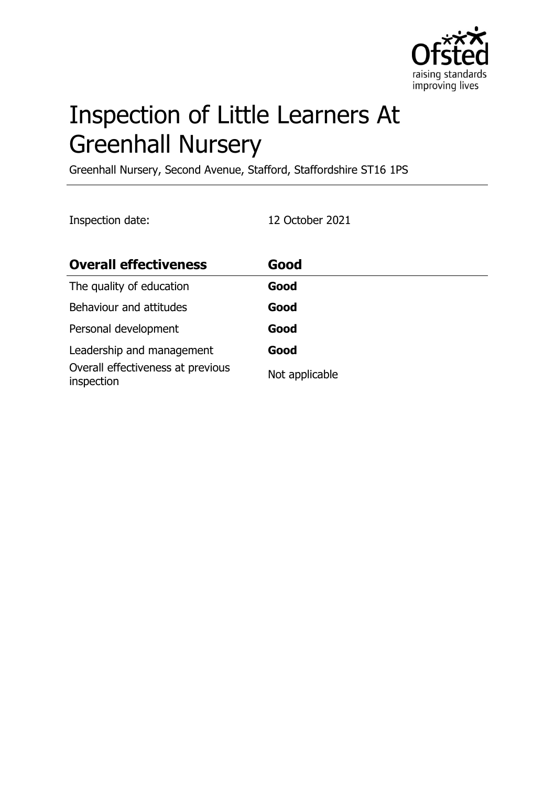

# Inspection of Little Learners At Greenhall Nursery

Greenhall Nursery, Second Avenue, Stafford, Staffordshire ST16 1PS

Inspection date: 12 October 2021

| <b>Overall effectiveness</b>                    | Good           |
|-------------------------------------------------|----------------|
| The quality of education                        | Good           |
| Behaviour and attitudes                         | Good           |
| Personal development                            | Good           |
| Leadership and management                       | Good           |
| Overall effectiveness at previous<br>inspection | Not applicable |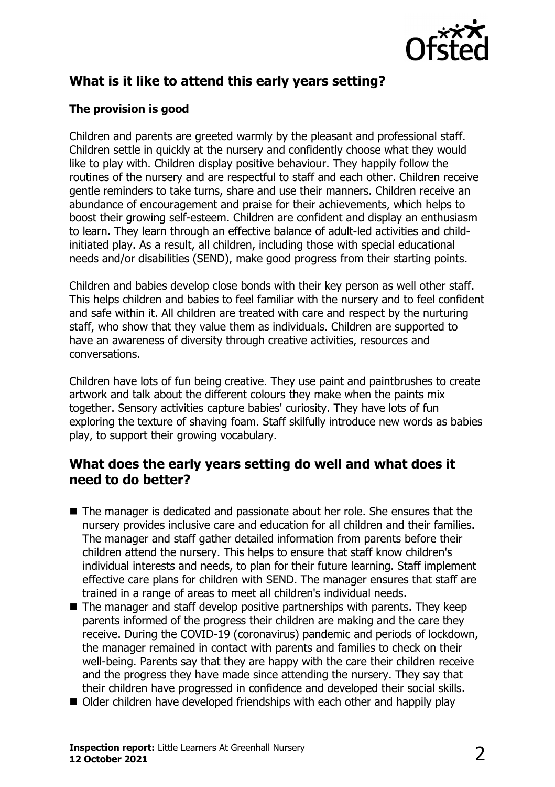

## **What is it like to attend this early years setting?**

#### **The provision is good**

Children and parents are greeted warmly by the pleasant and professional staff. Children settle in quickly at the nursery and confidently choose what they would like to play with. Children display positive behaviour. They happily follow the routines of the nursery and are respectful to staff and each other. Children receive gentle reminders to take turns, share and use their manners. Children receive an abundance of encouragement and praise for their achievements, which helps to boost their growing self-esteem. Children are confident and display an enthusiasm to learn. They learn through an effective balance of adult-led activities and childinitiated play. As a result, all children, including those with special educational needs and/or disabilities (SEND), make good progress from their starting points.

Children and babies develop close bonds with their key person as well other staff. This helps children and babies to feel familiar with the nursery and to feel confident and safe within it. All children are treated with care and respect by the nurturing staff, who show that they value them as individuals. Children are supported to have an awareness of diversity through creative activities, resources and conversations.

Children have lots of fun being creative. They use paint and paintbrushes to create artwork and talk about the different colours they make when the paints mix together. Sensory activities capture babies' curiosity. They have lots of fun exploring the texture of shaving foam. Staff skilfully introduce new words as babies play, to support their growing vocabulary.

#### **What does the early years setting do well and what does it need to do better?**

- $\blacksquare$  The manager is dedicated and passionate about her role. She ensures that the nursery provides inclusive care and education for all children and their families. The manager and staff gather detailed information from parents before their children attend the nursery. This helps to ensure that staff know children's individual interests and needs, to plan for their future learning. Staff implement effective care plans for children with SEND. The manager ensures that staff are trained in a range of areas to meet all children's individual needs.
- $\blacksquare$  The manager and staff develop positive partnerships with parents. They keep parents informed of the progress their children are making and the care they receive. During the COVID-19 (coronavirus) pandemic and periods of lockdown, the manager remained in contact with parents and families to check on their well-being. Parents say that they are happy with the care their children receive and the progress they have made since attending the nursery. They say that their children have progressed in confidence and developed their social skills.
- $\blacksquare$  Older children have developed friendships with each other and happily play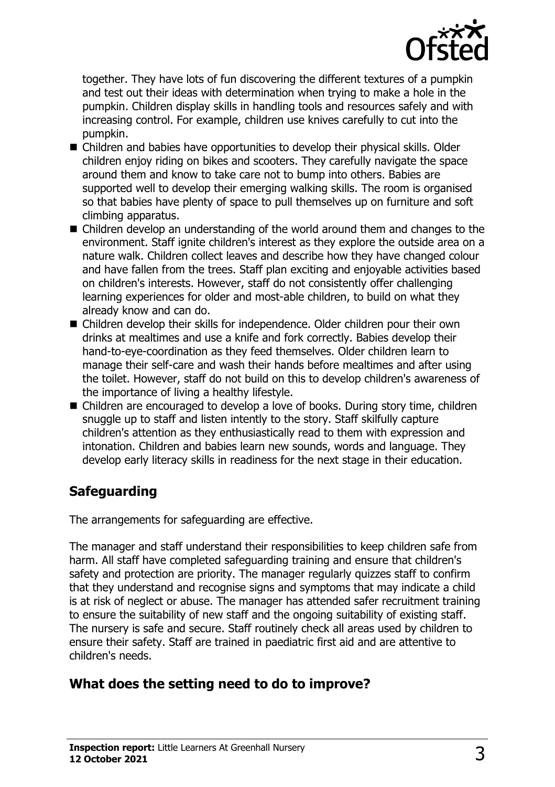

together. They have lots of fun discovering the different textures of a pumpkin and test out their ideas with determination when trying to make a hole in the pumpkin. Children display skills in handling tools and resources safely and with increasing control. For example, children use knives carefully to cut into the pumpkin.

- $\blacksquare$  Children and babies have opportunities to develop their physical skills. Older children enjoy riding on bikes and scooters. They carefully navigate the space around them and know to take care not to bump into others. Babies are supported well to develop their emerging walking skills. The room is organised so that babies have plenty of space to pull themselves up on furniture and soft climbing apparatus.
- $\blacksquare$  Children develop an understanding of the world around them and changes to the environment. Staff ignite children's interest as they explore the outside area on a nature walk. Children collect leaves and describe how they have changed colour and have fallen from the trees. Staff plan exciting and enjoyable activities based on children's interests. However, staff do not consistently offer challenging learning experiences for older and most-able children, to build on what they already know and can do.
- Children develop their skills for independence. Older children pour their own drinks at mealtimes and use a knife and fork correctly. Babies develop their hand-to-eye-coordination as they feed themselves. Older children learn to manage their self-care and wash their hands before mealtimes and after using the toilet. However, staff do not build on this to develop children's awareness of the importance of living a healthy lifestyle.
- Children are encouraged to develop a love of books. During story time, children snuggle up to staff and listen intently to the story. Staff skilfully capture children's attention as they enthusiastically read to them with expression and intonation. Children and babies learn new sounds, words and language. They develop early literacy skills in readiness for the next stage in their education.

## **Safeguarding**

The arrangements for safeguarding are effective.

The manager and staff understand their responsibilities to keep children safe from harm. All staff have completed safeguarding training and ensure that children's safety and protection are priority. The manager regularly quizzes staff to confirm that they understand and recognise signs and symptoms that may indicate a child is at risk of neglect or abuse. The manager has attended safer recruitment training to ensure the suitability of new staff and the ongoing suitability of existing staff. The nursery is safe and secure. Staff routinely check all areas used by children to ensure their safety. Staff are trained in paediatric first aid and are attentive to children's needs.

## **What does the setting need to do to improve?**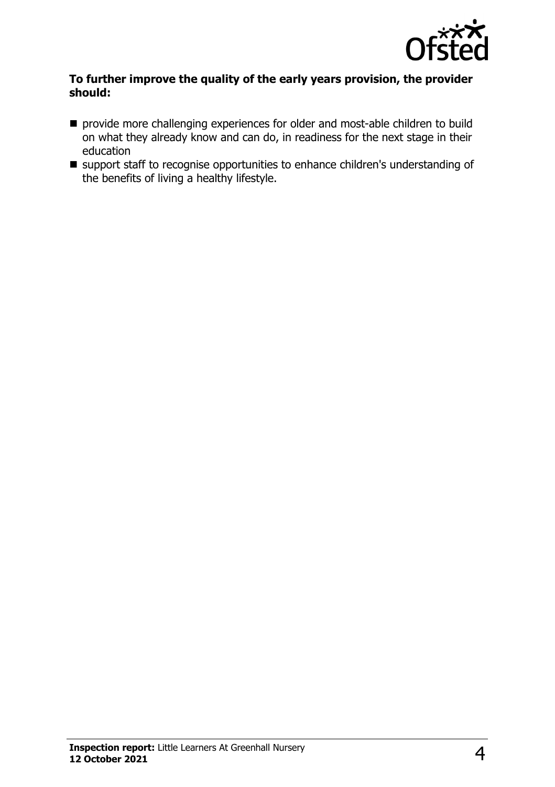

#### **To further improve the quality of the early years provision, the provider should:**

- provide more challenging experiences for older and most-able children to build on what they already know and can do, in readiness for the next stage in their education
- support staff to recognise opportunities to enhance children's understanding of the benefits of living a healthy lifestyle.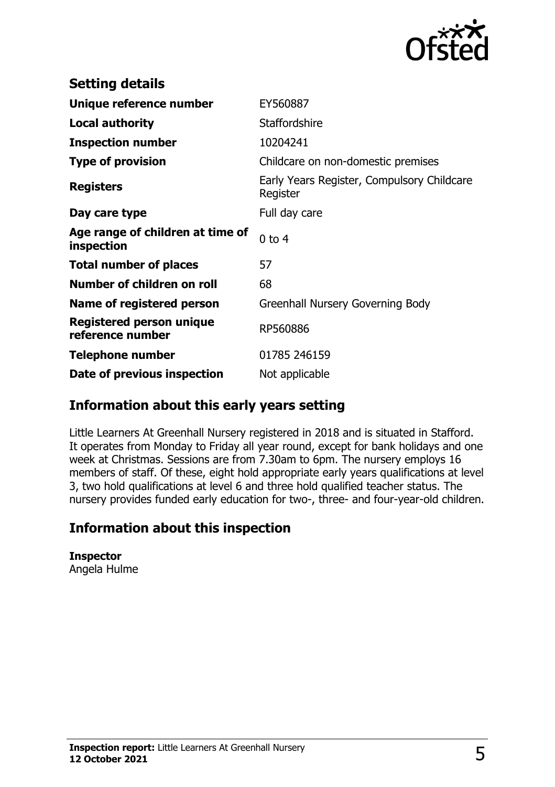

| <b>Setting details</b>                         |                                                        |
|------------------------------------------------|--------------------------------------------------------|
| Unique reference number                        | EY560887                                               |
| <b>Local authority</b>                         | <b>Staffordshire</b>                                   |
| <b>Inspection number</b>                       | 10204241                                               |
| <b>Type of provision</b>                       | Childcare on non-domestic premises                     |
| <b>Registers</b>                               | Early Years Register, Compulsory Childcare<br>Register |
| Day care type                                  | Full day care                                          |
| Age range of children at time of<br>inspection | $0$ to $4$                                             |
| <b>Total number of places</b>                  | 57                                                     |
| Number of children on roll                     | 68                                                     |
| Name of registered person                      | Greenhall Nursery Governing Body                       |
| Registered person unique<br>reference number   | RP560886                                               |
| <b>Telephone number</b>                        | 01785 246159                                           |
| Date of previous inspection                    | Not applicable                                         |

#### **Information about this early years setting**

Little Learners At Greenhall Nursery registered in 2018 and is situated in Stafford. It operates from Monday to Friday all year round, except for bank holidays and one week at Christmas. Sessions are from 7.30am to 6pm. The nursery employs 16 members of staff. Of these, eight hold appropriate early years qualifications at level 3, two hold qualifications at level 6 and three hold qualified teacher status. The nursery provides funded early education for two-, three- and four-year-old children.

## **Information about this inspection**

**Inspector** Angela Hulme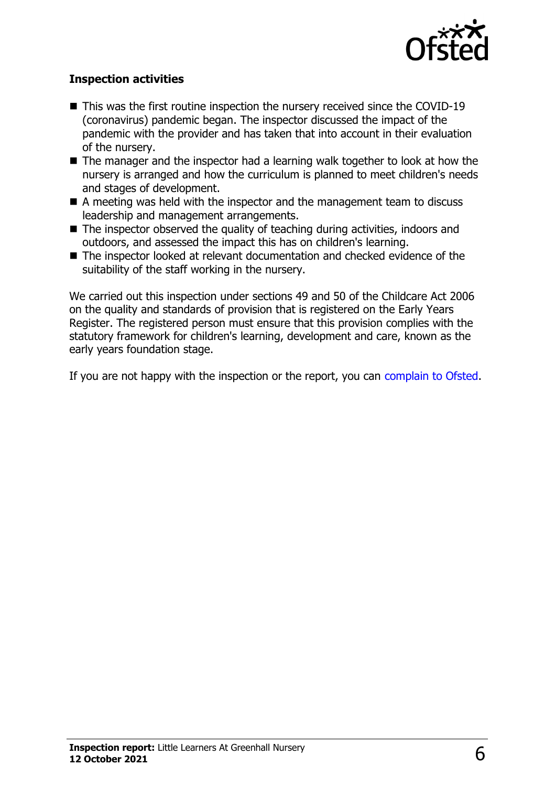

#### **Inspection activities**

- $\blacksquare$  This was the first routine inspection the nursery received since the COVID-19 (coronavirus) pandemic began. The inspector discussed the impact of the pandemic with the provider and has taken that into account in their evaluation of the nursery.
- $\blacksquare$  The manager and the inspector had a learning walk together to look at how the nursery is arranged and how the curriculum is planned to meet children's needs and stages of development.
- A meeting was held with the inspector and the management team to discuss leadership and management arrangements.
- $\blacksquare$  The inspector observed the quality of teaching during activities, indoors and outdoors, and assessed the impact this has on children's learning.
- $\blacksquare$  The inspector looked at relevant documentation and checked evidence of the suitability of the staff working in the nursery.

We carried out this inspection under sections 49 and 50 of the Childcare Act 2006 on the quality and standards of provision that is registered on the Early Years Register. The registered person must ensure that this provision complies with the statutory framework for children's learning, development and care, known as the early years foundation stage.

If you are not happy with the inspection or the report, you can [complain to Ofsted](http://www.gov.uk/complain-ofsted-report).